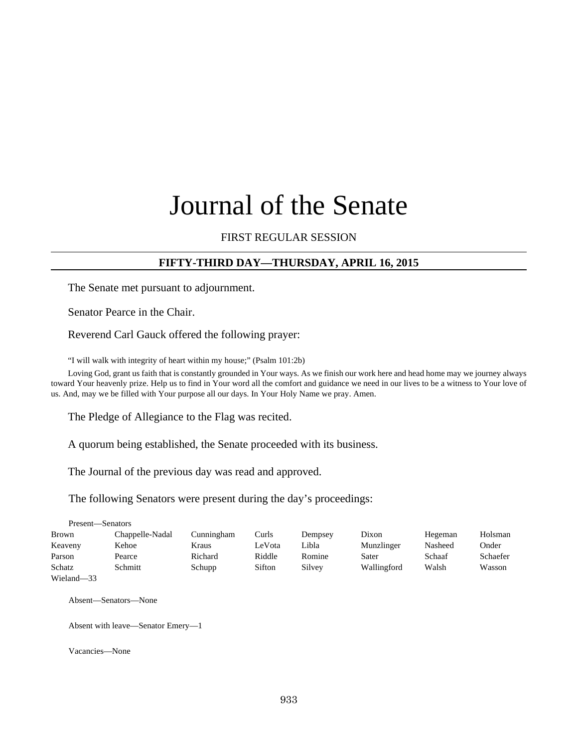# Journal of the Senate

#### FIRST REGULAR SESSION

#### **FIFTY-THIRD DAY—THURSDAY, APRIL 16, 2015**

The Senate met pursuant to adjournment.

Senator Pearce in the Chair.

Reverend Carl Gauck offered the following prayer:

"I will walk with integrity of heart within my house;" (Psalm 101:2b)

Loving God, grant us faith that is constantly grounded in Your ways. As we finish our work here and head home may we journey always toward Your heavenly prize. Help us to find in Your word all the comfort and guidance we need in our lives to be a witness to Your love of us. And, may we be filled with Your purpose all our days. In Your Holy Name we pray. Amen.

The Pledge of Allegiance to the Flag was recited.

A quorum being established, the Senate proceeded with its business.

The Journal of the previous day was read and approved.

The following Senators were present during the day's proceedings:

| Present—Senators |                 |            |        |         |             |         |          |
|------------------|-----------------|------------|--------|---------|-------------|---------|----------|
| Brown            | Chappelle-Nadal | Cunningham | Curls  | Dempsey | Dixon       | Hegeman | Holsman  |
| Keaveny          | Kehoe           | Kraus      | LeVota | Libla   | Munzlinger  | Nasheed | Onder    |
| Parson           | Pearce          | Richard    | Riddle | Romine  | Sater       | Schaaf  | Schaefer |
| Schatz           | Schmitt         | Schupp     | Sifton | Silvey  | Wallingford | Walsh   | Wasson   |
| Wieland-33       |                 |            |        |         |             |         |          |

Absent—Senators—None

Absent with leave—Senator Emery—1

Vacancies—None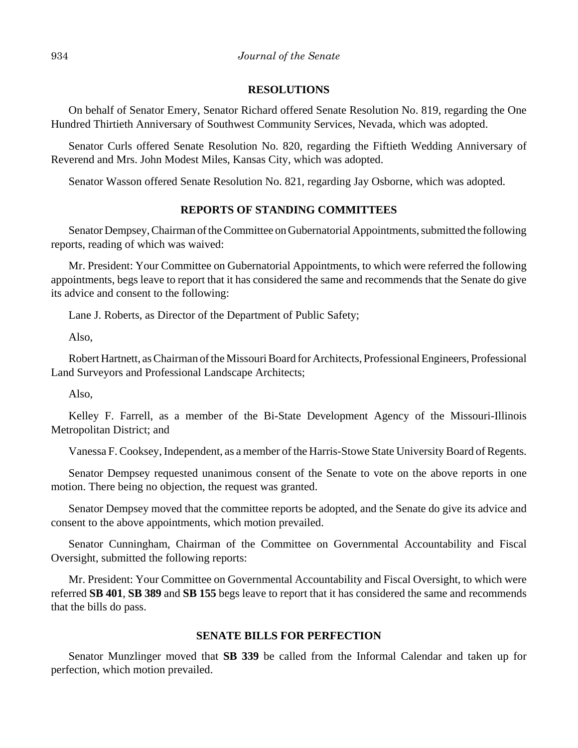#### **RESOLUTIONS**

On behalf of Senator Emery, Senator Richard offered Senate Resolution No. 819, regarding the One Hundred Thirtieth Anniversary of Southwest Community Services, Nevada, which was adopted.

Senator Curls offered Senate Resolution No. 820, regarding the Fiftieth Wedding Anniversary of Reverend and Mrs. John Modest Miles, Kansas City, which was adopted.

Senator Wasson offered Senate Resolution No. 821, regarding Jay Osborne, which was adopted.

#### **REPORTS OF STANDING COMMITTEES**

Senator Dempsey, Chairman of the Committee on Gubernatorial Appointments, submitted the following reports, reading of which was waived:

Mr. President: Your Committee on Gubernatorial Appointments, to which were referred the following appointments, begs leave to report that it has considered the same and recommends that the Senate do give its advice and consent to the following:

Lane J. Roberts, as Director of the Department of Public Safety;

Also,

Robert Hartnett, as Chairman of the Missouri Board for Architects, Professional Engineers, Professional Land Surveyors and Professional Landscape Architects;

Also,

Kelley F. Farrell, as a member of the Bi-State Development Agency of the Missouri-Illinois Metropolitan District; and

Vanessa F. Cooksey, Independent, as a member of the Harris-Stowe State University Board of Regents.

Senator Dempsey requested unanimous consent of the Senate to vote on the above reports in one motion. There being no objection, the request was granted.

Senator Dempsey moved that the committee reports be adopted, and the Senate do give its advice and consent to the above appointments, which motion prevailed.

Senator Cunningham, Chairman of the Committee on Governmental Accountability and Fiscal Oversight, submitted the following reports:

Mr. President: Your Committee on Governmental Accountability and Fiscal Oversight, to which were referred **SB 401**, **SB 389** and **SB 155** begs leave to report that it has considered the same and recommends that the bills do pass.

#### **SENATE BILLS FOR PERFECTION**

Senator Munzlinger moved that **SB 339** be called from the Informal Calendar and taken up for perfection, which motion prevailed.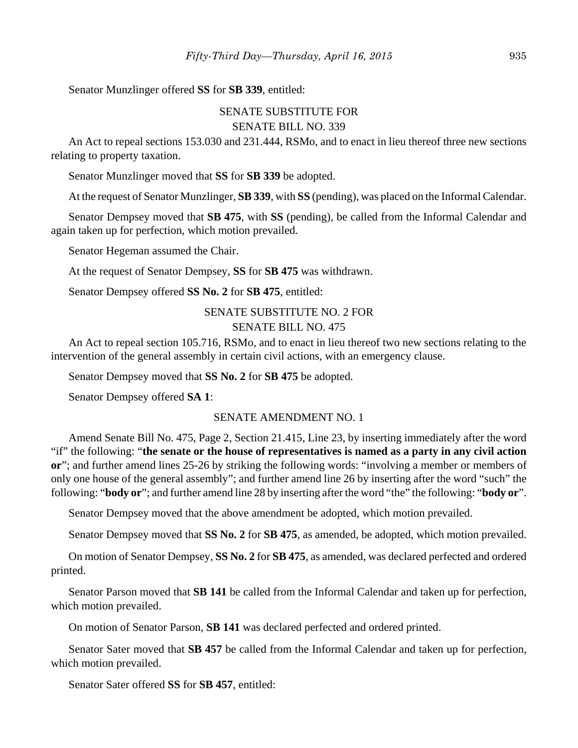Senator Munzlinger offered **SS** for **SB 339**, entitled:

## SENATE SUBSTITUTE FOR SENATE BILL NO. 339

An Act to repeal sections 153.030 and 231.444, RSMo, and to enact in lieu thereof three new sections relating to property taxation.

Senator Munzlinger moved that **SS** for **SB 339** be adopted.

At the request of Senator Munzlinger, **SB 339**, with **SS** (pending), was placed on the Informal Calendar.

Senator Dempsey moved that **SB 475**, with **SS** (pending), be called from the Informal Calendar and again taken up for perfection, which motion prevailed.

Senator Hegeman assumed the Chair.

At the request of Senator Dempsey, **SS** for **SB 475** was withdrawn.

Senator Dempsey offered **SS No. 2** for **SB 475**, entitled:

## SENATE SUBSTITUTE NO. 2 FOR SENATE BILL NO. 475

An Act to repeal section 105.716, RSMo, and to enact in lieu thereof two new sections relating to the intervention of the general assembly in certain civil actions, with an emergency clause.

Senator Dempsey moved that **SS No. 2** for **SB 475** be adopted.

Senator Dempsey offered **SA 1**:

#### SENATE AMENDMENT NO. 1

Amend Senate Bill No. 475, Page 2, Section 21.415, Line 23, by inserting immediately after the word "if" the following: "**the senate or the house of representatives is named as a party in any civil action or**"; and further amend lines 25-26 by striking the following words: "involving a member or members of only one house of the general assembly"; and further amend line 26 by inserting after the word "such" the following: "**body or**"; and further amend line 28 by inserting after the word "the" the following: "**body or**".

Senator Dempsey moved that the above amendment be adopted, which motion prevailed.

Senator Dempsey moved that **SS No. 2** for **SB 475**, as amended, be adopted, which motion prevailed.

On motion of Senator Dempsey, **SS No. 2** for **SB 475**, as amended, was declared perfected and ordered printed.

Senator Parson moved that **SB 141** be called from the Informal Calendar and taken up for perfection, which motion prevailed.

On motion of Senator Parson, **SB 141** was declared perfected and ordered printed.

Senator Sater moved that **SB 457** be called from the Informal Calendar and taken up for perfection, which motion prevailed.

Senator Sater offered **SS** for **SB 457**, entitled: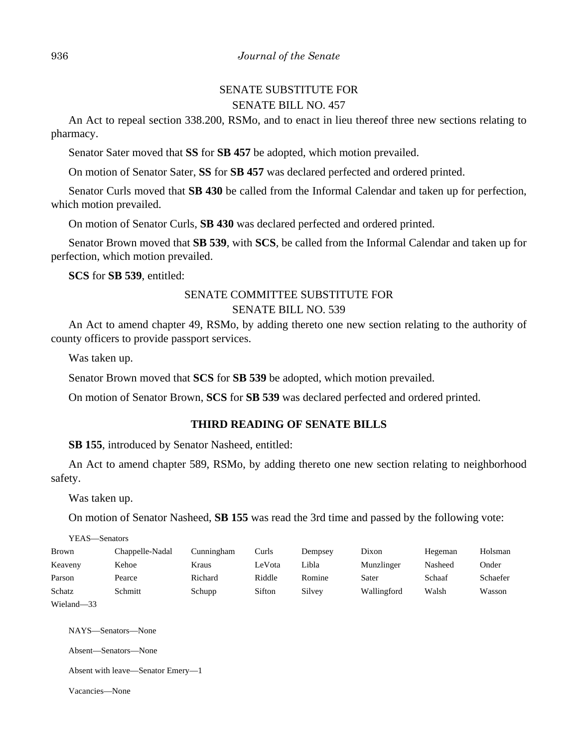## SENATE SUBSTITUTE FOR SENATE BILL NO. 457

An Act to repeal section 338.200, RSMo, and to enact in lieu thereof three new sections relating to pharmacy.

Senator Sater moved that **SS** for **SB 457** be adopted, which motion prevailed.

On motion of Senator Sater, **SS** for **SB 457** was declared perfected and ordered printed.

Senator Curls moved that **SB 430** be called from the Informal Calendar and taken up for perfection, which motion prevailed.

On motion of Senator Curls, **SB 430** was declared perfected and ordered printed.

Senator Brown moved that **SB 539**, with **SCS**, be called from the Informal Calendar and taken up for perfection, which motion prevailed.

**SCS** for **SB 539**, entitled:

## SENATE COMMITTEE SUBSTITUTE FOR

## SENATE BILL NO. 539

An Act to amend chapter 49, RSMo, by adding thereto one new section relating to the authority of county officers to provide passport services.

Was taken up.

Senator Brown moved that **SCS** for **SB 539** be adopted, which motion prevailed.

On motion of Senator Brown, **SCS** for **SB 539** was declared perfected and ordered printed.

#### **THIRD READING OF SENATE BILLS**

**SB 155**, introduced by Senator Nasheed, entitled:

An Act to amend chapter 589, RSMo, by adding thereto one new section relating to neighborhood safety.

Was taken up.

On motion of Senator Nasheed, **SB 155** was read the 3rd time and passed by the following vote:

YEAS—Senators

| Brown      | Chappelle-Nadal | Cunningham | Curls  | Dempsey | Dixon       | Hegeman | Holsman  |
|------------|-----------------|------------|--------|---------|-------------|---------|----------|
| Keaveny    | Kehoe           | Kraus      | LeVota | Libla   | Munzlinger  | Nasheed | Onder    |
| Parson     | Pearce          | Richard    | Riddle | Romine  | Sater       | Schaaf  | Schaefer |
| Schatz     | Schmitt         | Schupp     | Sifton | Silvey  | Wallingford | Walsh   | Wasson   |
| Wieland-33 |                 |            |        |         |             |         |          |

NAYS—Senators—None

Absent—Senators—None

Absent with leave—Senator Emery—1

Vacancies—None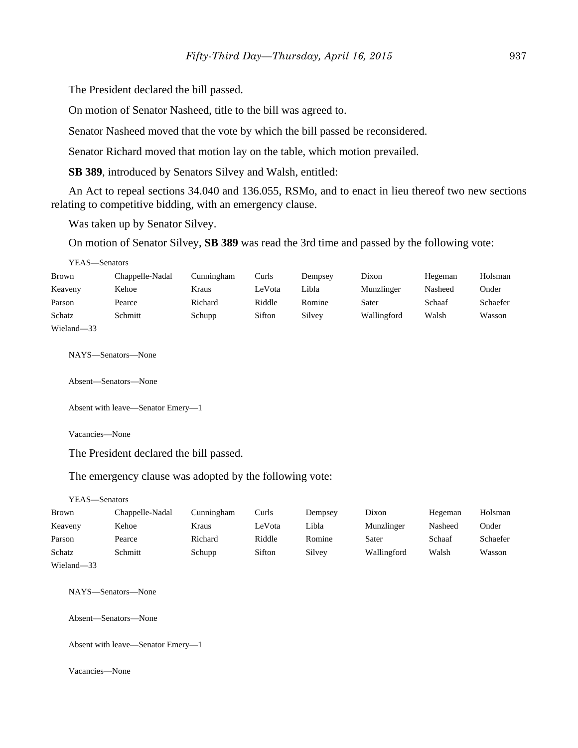The President declared the bill passed.

On motion of Senator Nasheed, title to the bill was agreed to.

Senator Nasheed moved that the vote by which the bill passed be reconsidered.

Senator Richard moved that motion lay on the table, which motion prevailed.

**SB 389**, introduced by Senators Silvey and Walsh, entitled:

An Act to repeal sections 34.040 and 136.055, RSMo, and to enact in lieu thereof two new sections relating to competitive bidding, with an emergency clause.

Was taken up by Senator Silvey.

On motion of Senator Silvey, **SB 389** was read the 3rd time and passed by the following vote:

YEAS—Senators

| Brown      | Chappelle-Nadal | Cunningham | Curls  | Dempsey | Dixon       | Hegeman | Holsman  |
|------------|-----------------|------------|--------|---------|-------------|---------|----------|
| Keaveny    | Kehoe           | Kraus      | LeVota | Libla   | Munzlinger  | Nasheed | Onder    |
| Parson     | Pearce          | Richard    | Riddle | Romine  | Sater       | Schaaf  | Schaefer |
| Schatz     | Schmitt         | Schupp     | Sifton | Silvey  | Wallingford | Walsh   | Wasson   |
| Wieland-33 |                 |            |        |         |             |         |          |

NAYS—Senators—None

Absent—Senators—None

Absent with leave—Senator Emery—1

Vacancies—None

The President declared the bill passed.

The emergency clause was adopted by the following vote:

YEAS—Senators

| <b>Brown</b>            | Chappelle-Nadal | Cunningham | Curls  | Dempsey | Dixon       | Hegeman | Holsman  |
|-------------------------|-----------------|------------|--------|---------|-------------|---------|----------|
| Keaveny                 | Kehoe           | Kraus      | LeVota | Libla   | Munzlinger  | Nasheed | Onder    |
| Parson                  | Pearce          | Richard    | Riddle | Romine  | Sater       | Schaaf  | Schaefer |
| Schatz                  | Schmitt         | Schupp     | Sifton | Silvey  | Wallingford | Walsh   | Wasson   |
| <b>TTT' 1</b><br>$\sim$ |                 |            |        |         |             |         |          |

Wieland—33

NAYS—Senators—None

Absent—Senators—None

Absent with leave—Senator Emery—1

Vacancies—None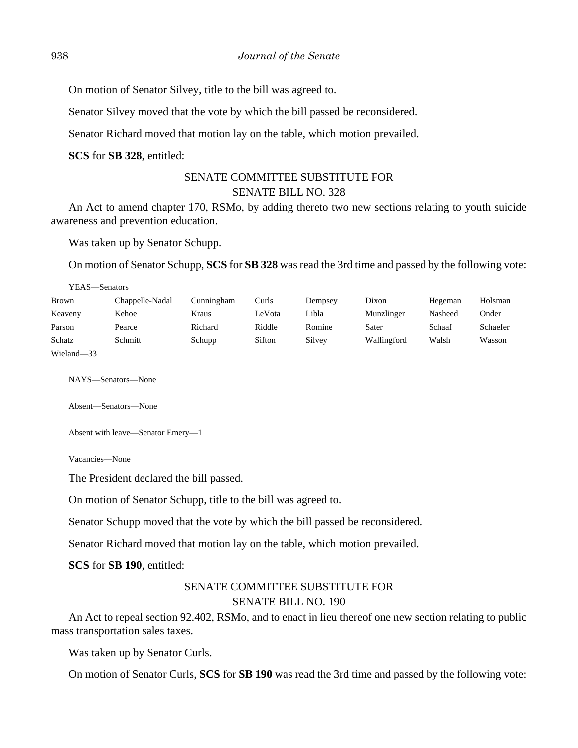On motion of Senator Silvey, title to the bill was agreed to.

Senator Silvey moved that the vote by which the bill passed be reconsidered.

Senator Richard moved that motion lay on the table, which motion prevailed.

**SCS** for **SB 328**, entitled:

## SENATE COMMITTEE SUBSTITUTE FOR SENATE BILL NO. 328

An Act to amend chapter 170, RSMo, by adding thereto two new sections relating to youth suicide awareness and prevention education.

Was taken up by Senator Schupp.

On motion of Senator Schupp, **SCS** for **SB 328** was read the 3rd time and passed by the following vote:

| YEAS—Senators |                 |            |        |         |             |         |          |
|---------------|-----------------|------------|--------|---------|-------------|---------|----------|
| <b>Brown</b>  | Chappelle-Nadal | Cunningham | Curls  | Dempsey | Dixon       | Hegeman | Holsman  |
| Keaveny       | Kehoe           | Kraus      | LeVota | Libla   | Munzlinger  | Nasheed | Onder    |
| Parson        | Pearce          | Richard    | Riddle | Romine  | Sater       | Schaaf  | Schaefer |
| Schatz        | Schmitt         | Schupp     | Sifton | Silvey  | Wallingford | Walsh   | Wasson   |
| Wieland-33    |                 |            |        |         |             |         |          |

NAYS—Senators—None

Absent—Senators—None

Absent with leave—Senator Emery—1

Vacancies—None

The President declared the bill passed.

On motion of Senator Schupp, title to the bill was agreed to.

Senator Schupp moved that the vote by which the bill passed be reconsidered.

Senator Richard moved that motion lay on the table, which motion prevailed.

**SCS** for **SB 190**, entitled:

## SENATE COMMITTEE SUBSTITUTE FOR SENATE BILL NO. 190

An Act to repeal section 92.402, RSMo, and to enact in lieu thereof one new section relating to public mass transportation sales taxes.

Was taken up by Senator Curls.

On motion of Senator Curls, **SCS** for **SB 190** was read the 3rd time and passed by the following vote: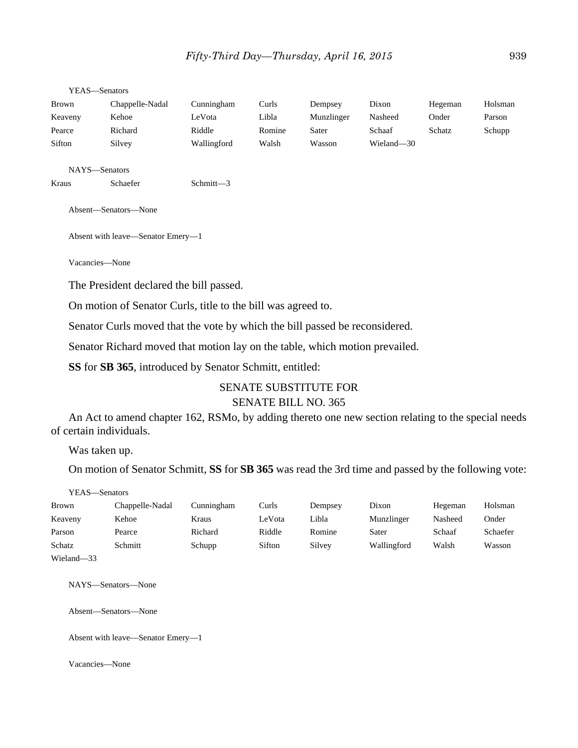YEAS—Senators

| Brown   | Chappelle-Nadal | Cunningham  | Curls  | Dempsey    | Dixon      | Hegeman | Holsman |
|---------|-----------------|-------------|--------|------------|------------|---------|---------|
| Keaveny | Kehoe           | LeVota      | Libla  | Munzlinger | Nasheed    | Onder   | Parson  |
| Pearce  | Richard         | Riddle      | Romine | Sater      | Schaaf     | Schatz  | Schupp  |
| Sifton  | Silvey          | Wallingford | Walsh  | Wasson     | Wieland-30 |         |         |
|         |                 |             |        |            |            |         |         |

NAYS—Senators

Kraus Schaefer Schmitt-3

Absent—Senators—None

Absent with leave—Senator Emery—1

Vacancies—None

The President declared the bill passed.

On motion of Senator Curls, title to the bill was agreed to.

Senator Curls moved that the vote by which the bill passed be reconsidered.

Senator Richard moved that motion lay on the table, which motion prevailed.

**SS** for **SB 365**, introduced by Senator Schmitt, entitled:

#### SENATE SUBSTITUTE FOR SENATE BILL NO. 365

An Act to amend chapter 162, RSMo, by adding thereto one new section relating to the special needs of certain individuals.

Was taken up.

On motion of Senator Schmitt, **SS** for **SB 365** was read the 3rd time and passed by the following vote:

YEAS—Senators

| <b>Brown</b> | Chappelle-Nadal | Cunningham | Curls  | Dempsey | Dixon       | Hegeman | Holsman  |
|--------------|-----------------|------------|--------|---------|-------------|---------|----------|
| Keaveny      | Kehoe           | Kraus      | LeVota | Libla   | Munzlinger  | Nasheed | Onder    |
| Parson       | Pearce          | Richard    | Riddle | Romine  | Sater       | Schaaf  | Schaefer |
| Schatz       | Schmitt         | Schupp     | Sifton | Silvey  | Wallingford | Walsh   | Wasson   |
| Wieland-33   |                 |            |        |         |             |         |          |

NAYS—Senators—None

Absent—Senators—None

Absent with leave—Senator Emery—1

Vacancies—None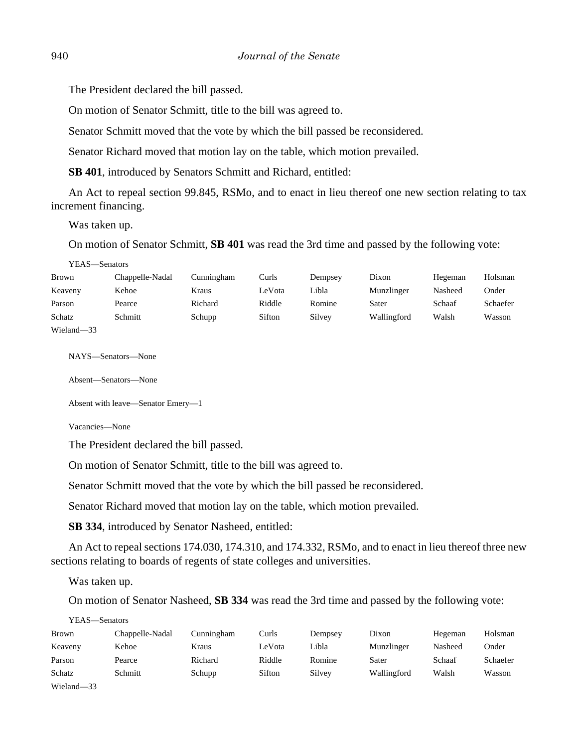The President declared the bill passed.

On motion of Senator Schmitt, title to the bill was agreed to.

Senator Schmitt moved that the vote by which the bill passed be reconsidered.

Senator Richard moved that motion lay on the table, which motion prevailed.

**SB 401**, introduced by Senators Schmitt and Richard, entitled:

An Act to repeal section 99.845, RSMo, and to enact in lieu thereof one new section relating to tax increment financing.

Was taken up.

On motion of Senator Schmitt, **SB 401** was read the 3rd time and passed by the following vote:

YEAS—Senators

| <b>Brown</b> | Chappelle-Nadal | Cunningham | Curls  | Dempsey | Dixon       | Hegeman | Holsman  |
|--------------|-----------------|------------|--------|---------|-------------|---------|----------|
| Keaveny      | Kehoe           | Kraus      | LeVota | Libla   | Munzlinger  | Nasheed | Onder    |
| Parson       | Pearce          | Richard    | Riddle | Romine  | Sater       | Schaaf  | Schaefer |
| Schatz       | Schmitt         | Schupp     | Sifton | Silvey  | Wallingford | Walsh   | Wasson   |
| Wieland-33   |                 |            |        |         |             |         |          |

NAYS—Senators—None

Absent—Senators—None

Absent with leave—Senator Emery—1

Vacancies—None

The President declared the bill passed.

On motion of Senator Schmitt, title to the bill was agreed to.

Senator Schmitt moved that the vote by which the bill passed be reconsidered.

Senator Richard moved that motion lay on the table, which motion prevailed.

**SB 334**, introduced by Senator Nasheed, entitled:

An Act to repeal sections 174.030, 174.310, and 174.332, RSMo, and to enact in lieu thereof three new sections relating to boards of regents of state colleges and universities.

Was taken up.

On motion of Senator Nasheed, **SB 334** was read the 3rd time and passed by the following vote:

YEAS—Senators

| Brown      | Chappelle-Nadal | Cunningham | Curls  | Dempsey | Dixon       | Hegeman | Holsman  |
|------------|-----------------|------------|--------|---------|-------------|---------|----------|
| Keaveny    | Kehoe           | Kraus      | LeVota | Libla   | Munzlinger  | Nasheed | Onder    |
| Parson     | Pearce          | Richard    | Riddle | Romine  | Sater       | Schaaf  | Schaefer |
| Schatz     | Schmitt         | Schupp     | Sifton | Silvey  | Wallingford | Walsh   | Wasson   |
| Wieland-33 |                 |            |        |         |             |         |          |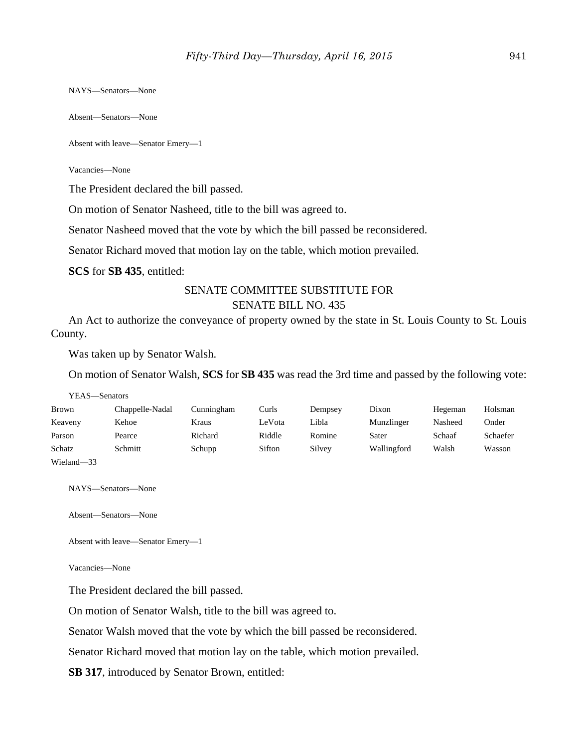NAYS—Senators—None

Absent—Senators—None

Absent with leave—Senator Emery—1

Vacancies—None

The President declared the bill passed.

On motion of Senator Nasheed, title to the bill was agreed to.

Senator Nasheed moved that the vote by which the bill passed be reconsidered.

Senator Richard moved that motion lay on the table, which motion prevailed.

**SCS** for **SB 435**, entitled:

#### SENATE COMMITTEE SUBSTITUTE FOR SENATE BILL NO. 435

An Act to authorize the conveyance of property owned by the state in St. Louis County to St. Louis County.

Was taken up by Senator Walsh.

On motion of Senator Walsh, **SCS** for **SB 435** was read the 3rd time and passed by the following vote:

| YEAS—Senators |                 |            |        |         |             |         |          |
|---------------|-----------------|------------|--------|---------|-------------|---------|----------|
| <b>Brown</b>  | Chappelle-Nadal | Cunningham | Curls  | Dempsey | Dixon       | Hegeman | Holsman  |
| Keaveny       | Kehoe           | Kraus      | LeVota | Libla   | Munzlinger  | Nasheed | Onder    |
| Parson        | Pearce          | Richard    | Riddle | Romine  | Sater       | Schaaf  | Schaefer |
| Schatz        | Schmitt         | Schupp     | Sifton | Silvey  | Wallingford | Walsh   | Wasson   |
| Wieland-33    |                 |            |        |         |             |         |          |

NAYS—Senators—None

Absent—Senators—None

```
Absent with leave—Senator Emery—1
```
Vacancies—None

The President declared the bill passed.

On motion of Senator Walsh, title to the bill was agreed to.

Senator Walsh moved that the vote by which the bill passed be reconsidered.

Senator Richard moved that motion lay on the table, which motion prevailed.

**SB 317**, introduced by Senator Brown, entitled: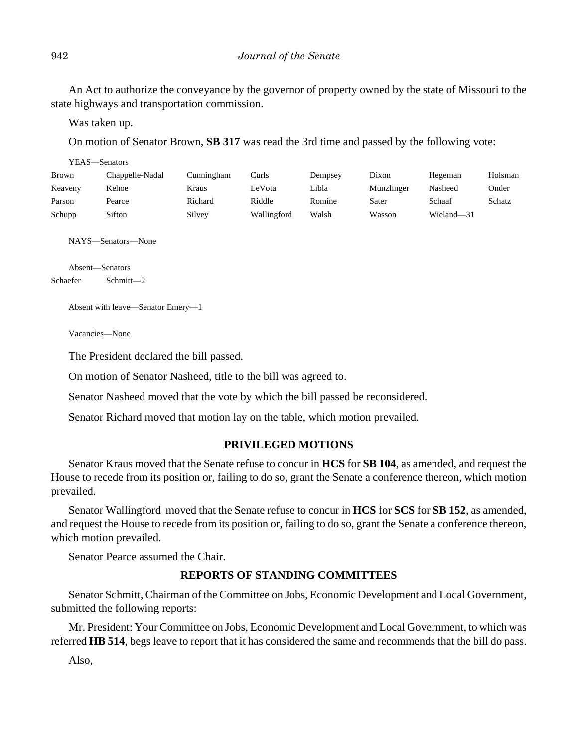An Act to authorize the conveyance by the governor of property owned by the state of Missouri to the state highways and transportation commission.

Was taken up.

On motion of Senator Brown, **SB 317** was read the 3rd time and passed by the following vote:

| YEAS—Senators |                 |            |             |         |            |            |         |
|---------------|-----------------|------------|-------------|---------|------------|------------|---------|
| <b>Brown</b>  | Chappelle-Nadal | Cunningham | Curls       | Dempsey | Dixon      | Hegeman    | Holsman |
| Keaveny       | Kehoe           | Kraus      | LeVota      | Libla   | Munzlinger | Nasheed    | Onder   |
| Parson        | Pearce          | Richard    | Riddle      | Romine  | Sater      | Schaaf     | Schatz  |
| Schupp        | Sifton          | Silvey     | Wallingford | Walsh   | Wasson     | Wieland-31 |         |
|               |                 |            |             |         |            |            |         |

NAYS—Senators—None

Absent—Senators Schaefer Schmitt—2

Absent with leave—Senator Emery—1

Vacancies—None

The President declared the bill passed.

On motion of Senator Nasheed, title to the bill was agreed to.

Senator Nasheed moved that the vote by which the bill passed be reconsidered.

Senator Richard moved that motion lay on the table, which motion prevailed.

#### **PRIVILEGED MOTIONS**

Senator Kraus moved that the Senate refuse to concur in **HCS** for **SB 104**, as amended, and request the House to recede from its position or, failing to do so, grant the Senate a conference thereon, which motion prevailed.

Senator Wallingford moved that the Senate refuse to concur in **HCS** for **SCS** for **SB 152**, as amended, and request the House to recede from its position or, failing to do so, grant the Senate a conference thereon, which motion prevailed.

Senator Pearce assumed the Chair.

#### **REPORTS OF STANDING COMMITTEES**

Senator Schmitt, Chairman of the Committee on Jobs, Economic Development and Local Government, submitted the following reports:

Mr. President: Your Committee on Jobs, Economic Development and Local Government, to which was referred **HB 514**, begs leave to report that it has considered the same and recommends that the bill do pass.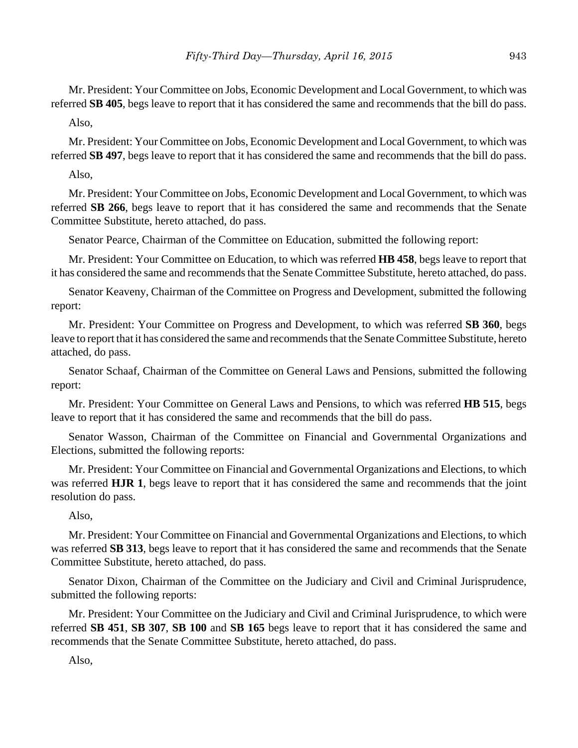Mr. President: Your Committee on Jobs, Economic Development and Local Government, to which was referred **SB 405**, begs leave to report that it has considered the same and recommends that the bill do pass.

Also,

Mr. President: Your Committee on Jobs, Economic Development and Local Government, to which was referred **SB 497**, begs leave to report that it has considered the same and recommends that the bill do pass.

Also,

Mr. President: Your Committee on Jobs, Economic Development and Local Government, to which was referred **SB 266**, begs leave to report that it has considered the same and recommends that the Senate Committee Substitute, hereto attached, do pass.

Senator Pearce, Chairman of the Committee on Education, submitted the following report:

Mr. President: Your Committee on Education, to which was referred **HB 458**, begs leave to report that it has considered the same and recommends that the Senate Committee Substitute, hereto attached, do pass.

Senator Keaveny, Chairman of the Committee on Progress and Development, submitted the following report:

Mr. President: Your Committee on Progress and Development, to which was referred **SB 360**, begs leave to report that it has considered the same and recommends that the Senate Committee Substitute, hereto attached, do pass.

Senator Schaaf, Chairman of the Committee on General Laws and Pensions, submitted the following report:

Mr. President: Your Committee on General Laws and Pensions, to which was referred **HB 515**, begs leave to report that it has considered the same and recommends that the bill do pass.

Senator Wasson, Chairman of the Committee on Financial and Governmental Organizations and Elections, submitted the following reports:

Mr. President: Your Committee on Financial and Governmental Organizations and Elections, to which was referred **HJR 1**, begs leave to report that it has considered the same and recommends that the joint resolution do pass.

Also,

Mr. President: Your Committee on Financial and Governmental Organizations and Elections, to which was referred **SB 313**, begs leave to report that it has considered the same and recommends that the Senate Committee Substitute, hereto attached, do pass.

Senator Dixon, Chairman of the Committee on the Judiciary and Civil and Criminal Jurisprudence, submitted the following reports:

Mr. President: Your Committee on the Judiciary and Civil and Criminal Jurisprudence, to which were referred **SB 451**, **SB 307**, **SB 100** and **SB 165** begs leave to report that it has considered the same and recommends that the Senate Committee Substitute, hereto attached, do pass.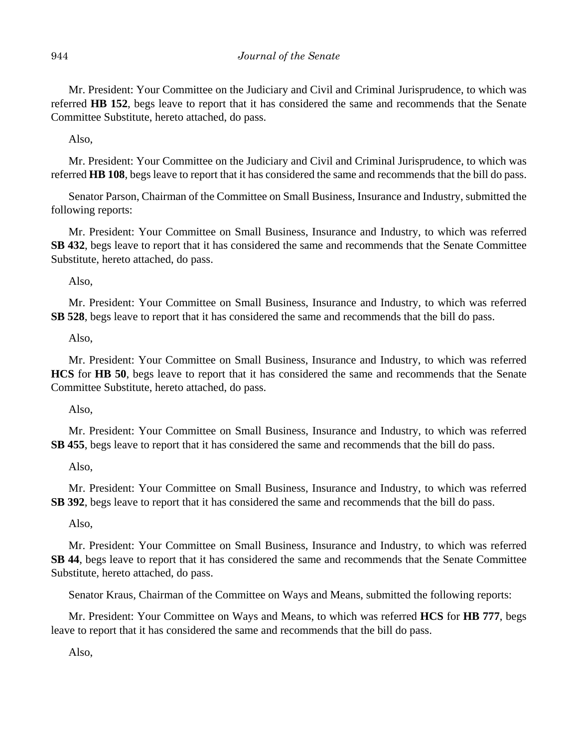Mr. President: Your Committee on the Judiciary and Civil and Criminal Jurisprudence, to which was referred **HB 152**, begs leave to report that it has considered the same and recommends that the Senate Committee Substitute, hereto attached, do pass.

Also,

Mr. President: Your Committee on the Judiciary and Civil and Criminal Jurisprudence, to which was referred **HB 108**, begs leave to report that it has considered the same and recommends that the bill do pass.

Senator Parson, Chairman of the Committee on Small Business, Insurance and Industry, submitted the following reports:

Mr. President: Your Committee on Small Business, Insurance and Industry, to which was referred **SB 432**, begs leave to report that it has considered the same and recommends that the Senate Committee Substitute, hereto attached, do pass.

Also,

Mr. President: Your Committee on Small Business, Insurance and Industry, to which was referred **SB 528**, begs leave to report that it has considered the same and recommends that the bill do pass.

Also,

Mr. President: Your Committee on Small Business, Insurance and Industry, to which was referred **HCS** for **HB 50**, begs leave to report that it has considered the same and recommends that the Senate Committee Substitute, hereto attached, do pass.

Also,

Mr. President: Your Committee on Small Business, Insurance and Industry, to which was referred **SB 455**, begs leave to report that it has considered the same and recommends that the bill do pass.

Also,

Mr. President: Your Committee on Small Business, Insurance and Industry, to which was referred **SB 392**, begs leave to report that it has considered the same and recommends that the bill do pass.

Also,

Mr. President: Your Committee on Small Business, Insurance and Industry, to which was referred **SB 44**, begs leave to report that it has considered the same and recommends that the Senate Committee Substitute, hereto attached, do pass.

Senator Kraus, Chairman of the Committee on Ways and Means, submitted the following reports:

Mr. President: Your Committee on Ways and Means, to which was referred **HCS** for **HB 777**, begs leave to report that it has considered the same and recommends that the bill do pass.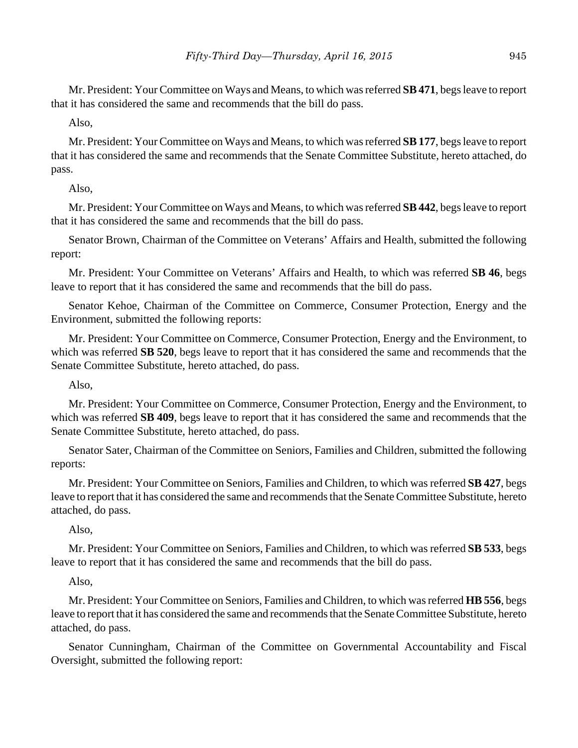Mr. President: Your Committee on Ways and Means, to which was referred **SB 471**, begs leave to report that it has considered the same and recommends that the bill do pass.

Also,

Mr. President: Your Committee on Ways and Means, to which was referred **SB 177**, begs leave to report that it has considered the same and recommends that the Senate Committee Substitute, hereto attached, do pass.

Also,

Mr. President: Your Committee on Ways and Means, to which was referred **SB 442**, begs leave to report that it has considered the same and recommends that the bill do pass.

Senator Brown, Chairman of the Committee on Veterans' Affairs and Health, submitted the following report:

Mr. President: Your Committee on Veterans' Affairs and Health, to which was referred **SB 46**, begs leave to report that it has considered the same and recommends that the bill do pass.

Senator Kehoe, Chairman of the Committee on Commerce, Consumer Protection, Energy and the Environment, submitted the following reports:

Mr. President: Your Committee on Commerce, Consumer Protection, Energy and the Environment, to which was referred **SB 520**, begs leave to report that it has considered the same and recommends that the Senate Committee Substitute, hereto attached, do pass.

Also,

Mr. President: Your Committee on Commerce, Consumer Protection, Energy and the Environment, to which was referred **SB 409**, begs leave to report that it has considered the same and recommends that the Senate Committee Substitute, hereto attached, do pass.

Senator Sater, Chairman of the Committee on Seniors, Families and Children, submitted the following reports:

Mr. President: Your Committee on Seniors, Families and Children, to which was referred **SB 427**, begs leave to report that it has considered the same and recommends that the Senate Committee Substitute, hereto attached, do pass.

Also,

Mr. President: Your Committee on Seniors, Families and Children, to which was referred **SB 533**, begs leave to report that it has considered the same and recommends that the bill do pass.

Also,

Mr. President: Your Committee on Seniors, Families and Children, to which was referred **HB 556**, begs leave to report that it has considered the same and recommends that the Senate Committee Substitute, hereto attached, do pass.

Senator Cunningham, Chairman of the Committee on Governmental Accountability and Fiscal Oversight, submitted the following report: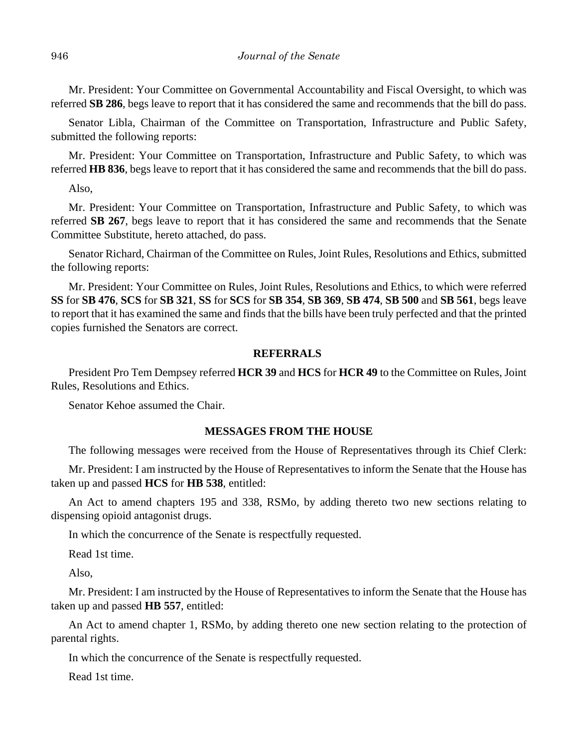Mr. President: Your Committee on Governmental Accountability and Fiscal Oversight, to which was referred **SB 286**, begs leave to report that it has considered the same and recommends that the bill do pass.

Senator Libla, Chairman of the Committee on Transportation, Infrastructure and Public Safety, submitted the following reports:

Mr. President: Your Committee on Transportation, Infrastructure and Public Safety, to which was referred **HB 836**, begs leave to report that it has considered the same and recommends that the bill do pass.

Also,

Mr. President: Your Committee on Transportation, Infrastructure and Public Safety, to which was referred **SB 267**, begs leave to report that it has considered the same and recommends that the Senate Committee Substitute, hereto attached, do pass.

Senator Richard, Chairman of the Committee on Rules, Joint Rules, Resolutions and Ethics, submitted the following reports:

Mr. President: Your Committee on Rules, Joint Rules, Resolutions and Ethics, to which were referred **SS** for **SB 476**, **SCS** for **SB 321**, **SS** for **SCS** for **SB 354**, **SB 369**, **SB 474**, **SB 500** and **SB 561**, begs leave to report that it has examined the same and finds that the bills have been truly perfected and that the printed copies furnished the Senators are correct.

#### **REFERRALS**

President Pro Tem Dempsey referred **HCR 39** and **HCS** for **HCR 49** to the Committee on Rules, Joint Rules, Resolutions and Ethics.

Senator Kehoe assumed the Chair.

#### **MESSAGES FROM THE HOUSE**

The following messages were received from the House of Representatives through its Chief Clerk:

Mr. President: I am instructed by the House of Representatives to inform the Senate that the House has taken up and passed **HCS** for **HB 538**, entitled:

An Act to amend chapters 195 and 338, RSMo, by adding thereto two new sections relating to dispensing opioid antagonist drugs.

In which the concurrence of the Senate is respectfully requested.

Read 1st time.

Also,

Mr. President: I am instructed by the House of Representatives to inform the Senate that the House has taken up and passed **HB 557**, entitled:

An Act to amend chapter 1, RSMo, by adding thereto one new section relating to the protection of parental rights.

In which the concurrence of the Senate is respectfully requested.

Read 1st time.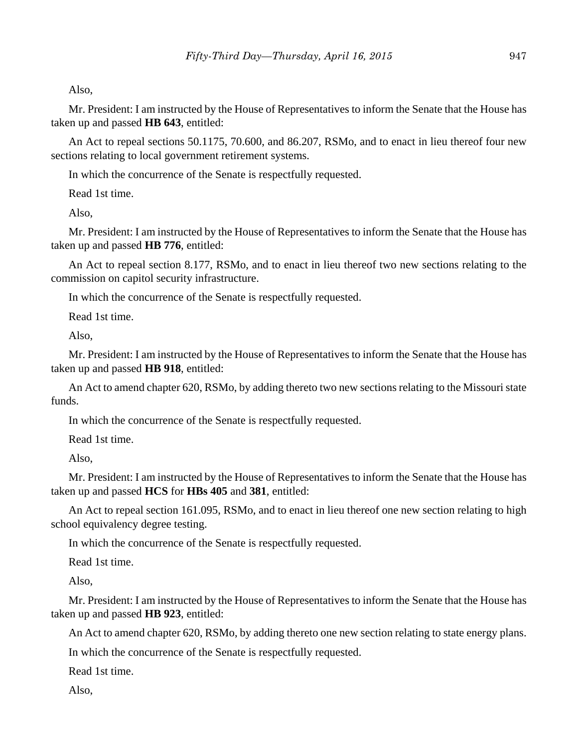Also,

Mr. President: I am instructed by the House of Representatives to inform the Senate that the House has taken up and passed **HB 643**, entitled:

An Act to repeal sections 50.1175, 70.600, and 86.207, RSMo, and to enact in lieu thereof four new sections relating to local government retirement systems.

In which the concurrence of the Senate is respectfully requested.

Read 1st time.

Also,

Mr. President: I am instructed by the House of Representatives to inform the Senate that the House has taken up and passed **HB 776**, entitled:

An Act to repeal section 8.177, RSMo, and to enact in lieu thereof two new sections relating to the commission on capitol security infrastructure.

In which the concurrence of the Senate is respectfully requested.

Read 1st time.

Also,

Mr. President: I am instructed by the House of Representatives to inform the Senate that the House has taken up and passed **HB 918**, entitled:

An Act to amend chapter 620, RSMo, by adding thereto two new sections relating to the Missouri state funds.

In which the concurrence of the Senate is respectfully requested.

Read 1st time.

Also,

Mr. President: I am instructed by the House of Representatives to inform the Senate that the House has taken up and passed **HCS** for **HBs 405** and **381**, entitled:

An Act to repeal section 161.095, RSMo, and to enact in lieu thereof one new section relating to high school equivalency degree testing.

In which the concurrence of the Senate is respectfully requested.

Read 1st time.

Also,

Mr. President: I am instructed by the House of Representatives to inform the Senate that the House has taken up and passed **HB 923**, entitled:

An Act to amend chapter 620, RSMo, by adding thereto one new section relating to state energy plans.

In which the concurrence of the Senate is respectfully requested.

Read 1st time.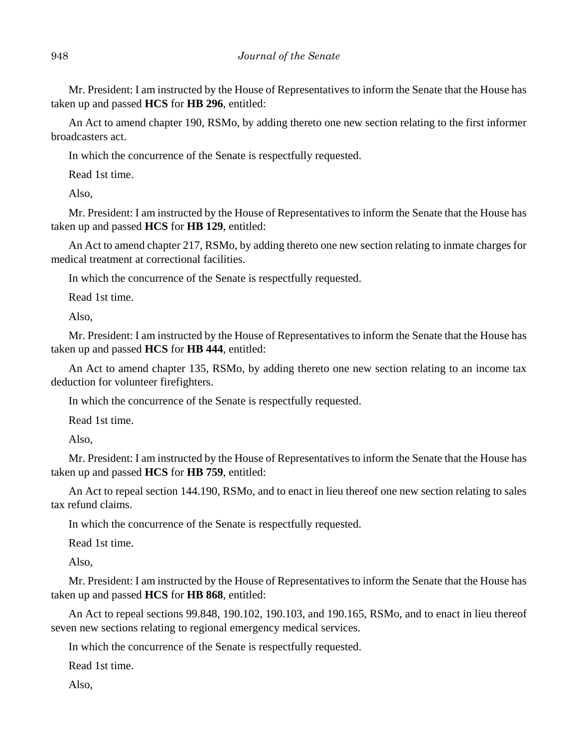Mr. President: I am instructed by the House of Representatives to inform the Senate that the House has taken up and passed **HCS** for **HB 296**, entitled:

An Act to amend chapter 190, RSMo, by adding thereto one new section relating to the first informer broadcasters act.

In which the concurrence of the Senate is respectfully requested.

Read 1st time.

Also,

Mr. President: I am instructed by the House of Representatives to inform the Senate that the House has taken up and passed **HCS** for **HB 129**, entitled:

An Act to amend chapter 217, RSMo, by adding thereto one new section relating to inmate charges for medical treatment at correctional facilities.

In which the concurrence of the Senate is respectfully requested.

Read 1st time.

Also,

Mr. President: I am instructed by the House of Representatives to inform the Senate that the House has taken up and passed **HCS** for **HB 444**, entitled:

An Act to amend chapter 135, RSMo, by adding thereto one new section relating to an income tax deduction for volunteer firefighters.

In which the concurrence of the Senate is respectfully requested.

Read 1st time.

Also,

Mr. President: I am instructed by the House of Representatives to inform the Senate that the House has taken up and passed **HCS** for **HB 759**, entitled:

An Act to repeal section 144.190, RSMo, and to enact in lieu thereof one new section relating to sales tax refund claims.

In which the concurrence of the Senate is respectfully requested.

Read 1st time.

Also,

Mr. President: I am instructed by the House of Representatives to inform the Senate that the House has taken up and passed **HCS** for **HB 868**, entitled:

An Act to repeal sections 99.848, 190.102, 190.103, and 190.165, RSMo, and to enact in lieu thereof seven new sections relating to regional emergency medical services.

In which the concurrence of the Senate is respectfully requested.

Read 1st time.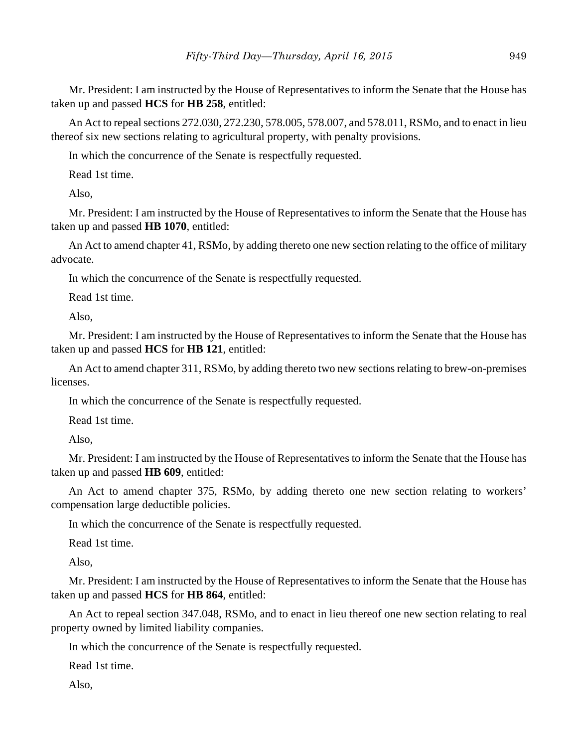Mr. President: I am instructed by the House of Representatives to inform the Senate that the House has taken up and passed **HCS** for **HB 258**, entitled:

An Act to repeal sections 272.030, 272.230, 578.005, 578.007, and 578.011, RSMo, and to enact in lieu thereof six new sections relating to agricultural property, with penalty provisions.

In which the concurrence of the Senate is respectfully requested.

Read 1st time.

Also,

Mr. President: I am instructed by the House of Representatives to inform the Senate that the House has taken up and passed **HB 1070**, entitled:

An Act to amend chapter 41, RSMo, by adding thereto one new section relating to the office of military advocate.

In which the concurrence of the Senate is respectfully requested.

Read 1st time.

Also,

Mr. President: I am instructed by the House of Representatives to inform the Senate that the House has taken up and passed **HCS** for **HB 121**, entitled:

An Act to amend chapter 311, RSMo, by adding thereto two new sections relating to brew-on-premises licenses.

In which the concurrence of the Senate is respectfully requested.

Read 1st time.

Also,

Mr. President: I am instructed by the House of Representatives to inform the Senate that the House has taken up and passed **HB 609**, entitled:

An Act to amend chapter 375, RSMo, by adding thereto one new section relating to workers' compensation large deductible policies.

In which the concurrence of the Senate is respectfully requested.

Read 1st time.

Also,

Mr. President: I am instructed by the House of Representatives to inform the Senate that the House has taken up and passed **HCS** for **HB 864**, entitled:

An Act to repeal section 347.048, RSMo, and to enact in lieu thereof one new section relating to real property owned by limited liability companies.

In which the concurrence of the Senate is respectfully requested.

Read 1st time.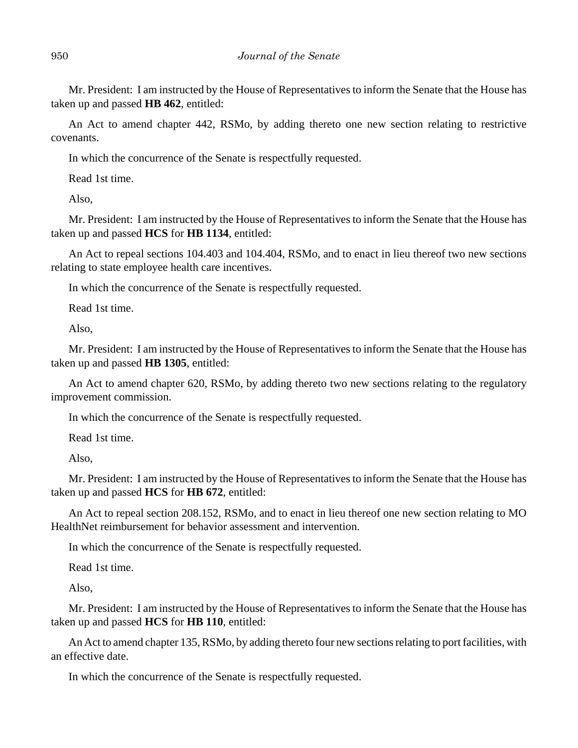Mr. President: I am instructed by the House of Representatives to inform the Senate that the House has taken up and passed **HB 462**, entitled:

An Act to amend chapter 442, RSMo, by adding thereto one new section relating to restrictive covenants.

In which the concurrence of the Senate is respectfully requested.

Read 1st time.

Also,

Mr. President: I am instructed by the House of Representatives to inform the Senate that the House has taken up and passed **HCS** for **HB 1134**, entitled:

An Act to repeal sections 104.403 and 104.404, RSMo, and to enact in lieu thereof two new sections relating to state employee health care incentives.

In which the concurrence of the Senate is respectfully requested.

Read 1st time.

Also,

Mr. President: I am instructed by the House of Representatives to inform the Senate that the House has taken up and passed **HB 1305**, entitled:

An Act to amend chapter 620, RSMo, by adding thereto two new sections relating to the regulatory improvement commission.

In which the concurrence of the Senate is respectfully requested.

Read 1st time.

Also,

Mr. President: I am instructed by the House of Representatives to inform the Senate that the House has taken up and passed **HCS** for **HB 672**, entitled:

An Act to repeal section 208.152, RSMo, and to enact in lieu thereof one new section relating to MO HealthNet reimbursement for behavior assessment and intervention.

In which the concurrence of the Senate is respectfully requested.

Read 1st time.

Also,

Mr. President: I am instructed by the House of Representatives to inform the Senate that the House has taken up and passed **HCS** for **HB 110**, entitled:

An Act to amend chapter 135, RSMo, by adding thereto four new sections relating to port facilities, with an effective date.

In which the concurrence of the Senate is respectfully requested.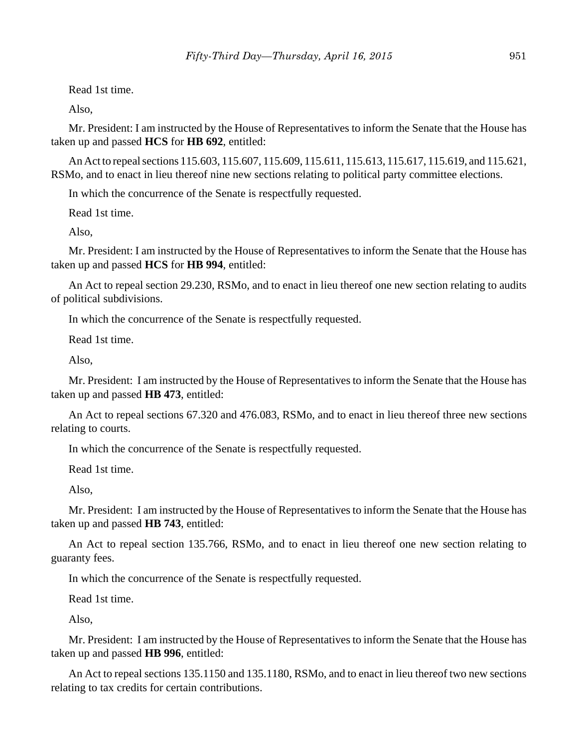Read 1st time.

Also,

Mr. President: I am instructed by the House of Representatives to inform the Senate that the House has taken up and passed **HCS** for **HB 692**, entitled:

An Act to repeal sections 115.603, 115.607, 115.609, 115.611, 115.613, 115.617, 115.619, and 115.621, RSMo, and to enact in lieu thereof nine new sections relating to political party committee elections.

In which the concurrence of the Senate is respectfully requested.

Read 1st time.

Also,

Mr. President: I am instructed by the House of Representatives to inform the Senate that the House has taken up and passed **HCS** for **HB 994**, entitled:

An Act to repeal section 29.230, RSMo, and to enact in lieu thereof one new section relating to audits of political subdivisions.

In which the concurrence of the Senate is respectfully requested.

Read 1st time.

Also,

Mr. President: I am instructed by the House of Representatives to inform the Senate that the House has taken up and passed **HB 473**, entitled:

An Act to repeal sections 67.320 and 476.083, RSMo, and to enact in lieu thereof three new sections relating to courts.

In which the concurrence of the Senate is respectfully requested.

Read 1st time.

Also,

Mr. President: I am instructed by the House of Representatives to inform the Senate that the House has taken up and passed **HB 743**, entitled:

An Act to repeal section 135.766, RSMo, and to enact in lieu thereof one new section relating to guaranty fees.

In which the concurrence of the Senate is respectfully requested.

Read 1st time.

Also,

Mr. President: I am instructed by the House of Representatives to inform the Senate that the House has taken up and passed **HB 996**, entitled:

An Act to repeal sections 135.1150 and 135.1180, RSMo, and to enact in lieu thereof two new sections relating to tax credits for certain contributions.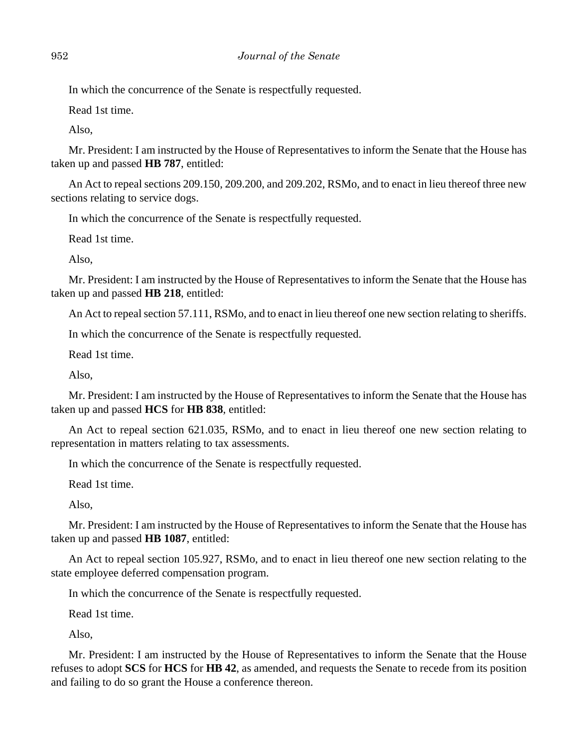In which the concurrence of the Senate is respectfully requested.

Read 1st time.

Also,

Mr. President: I am instructed by the House of Representatives to inform the Senate that the House has taken up and passed **HB 787**, entitled:

An Act to repeal sections 209.150, 209.200, and 209.202, RSMo, and to enact in lieu thereof three new sections relating to service dogs.

In which the concurrence of the Senate is respectfully requested.

Read 1st time.

Also,

Mr. President: I am instructed by the House of Representatives to inform the Senate that the House has taken up and passed **HB 218**, entitled:

An Act to repeal section 57.111, RSMo, and to enact in lieu thereof one new section relating to sheriffs.

In which the concurrence of the Senate is respectfully requested.

Read 1st time.

Also,

Mr. President: I am instructed by the House of Representatives to inform the Senate that the House has taken up and passed **HCS** for **HB 838**, entitled:

An Act to repeal section 621.035, RSMo, and to enact in lieu thereof one new section relating to representation in matters relating to tax assessments.

In which the concurrence of the Senate is respectfully requested.

Read 1st time.

Also,

Mr. President: I am instructed by the House of Representatives to inform the Senate that the House has taken up and passed **HB 1087**, entitled:

An Act to repeal section 105.927, RSMo, and to enact in lieu thereof one new section relating to the state employee deferred compensation program.

In which the concurrence of the Senate is respectfully requested.

Read 1st time.

Also,

Mr. President: I am instructed by the House of Representatives to inform the Senate that the House refuses to adopt **SCS** for **HCS** for **HB 42**, as amended, and requests the Senate to recede from its position and failing to do so grant the House a conference thereon.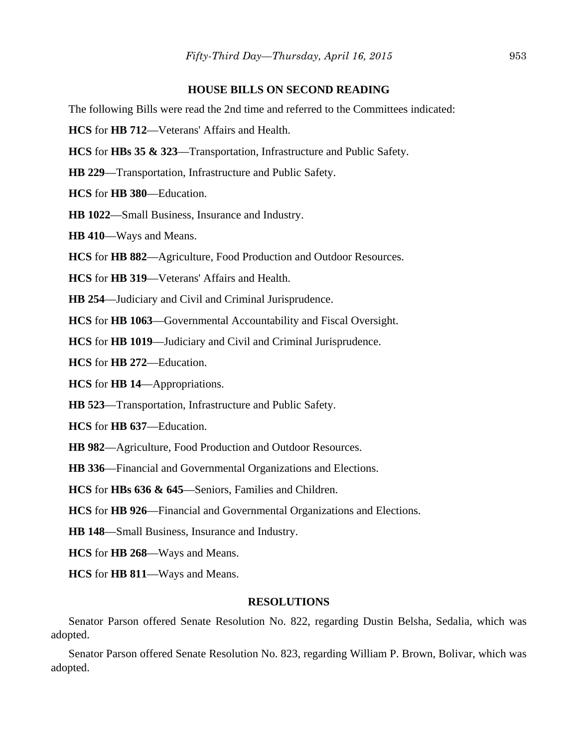#### **HOUSE BILLS ON SECOND READING**

The following Bills were read the 2nd time and referred to the Committees indicated:

**HCS** for **HB 712**––Veterans' Affairs and Health.

**HCS** for **HBs 35 & 323**––Transportation, Infrastructure and Public Safety.

**HB 229**––Transportation, Infrastructure and Public Safety.

**HCS** for **HB 380**––Education.

**HB 1022**––Small Business, Insurance and Industry.

**HB 410**––Ways and Means.

**HCS** for **HB 882**––Agriculture, Food Production and Outdoor Resources.

**HCS** for **HB 319**––Veterans' Affairs and Health.

**HB 254**––Judiciary and Civil and Criminal Jurisprudence.

**HCS** for **HB 1063**––Governmental Accountability and Fiscal Oversight.

**HCS** for **HB 1019**––Judiciary and Civil and Criminal Jurisprudence.

**HCS** for **HB 272**––Education.

**HCS** for **HB 14**––Appropriations.

**HB 523**––Transportation, Infrastructure and Public Safety.

**HCS** for **HB 637**––Education.

**HB 982**––Agriculture, Food Production and Outdoor Resources.

**HB 336**––Financial and Governmental Organizations and Elections.

**HCS** for **HBs 636 & 645**––Seniors, Families and Children.

**HCS** for **HB 926**––Financial and Governmental Organizations and Elections.

**HB 148**––Small Business, Insurance and Industry.

**HCS** for **HB 268**––Ways and Means.

**HCS** for **HB 811**––Ways and Means.

#### **RESOLUTIONS**

Senator Parson offered Senate Resolution No. 822, regarding Dustin Belsha, Sedalia, which was adopted.

Senator Parson offered Senate Resolution No. 823, regarding William P. Brown, Bolivar, which was adopted.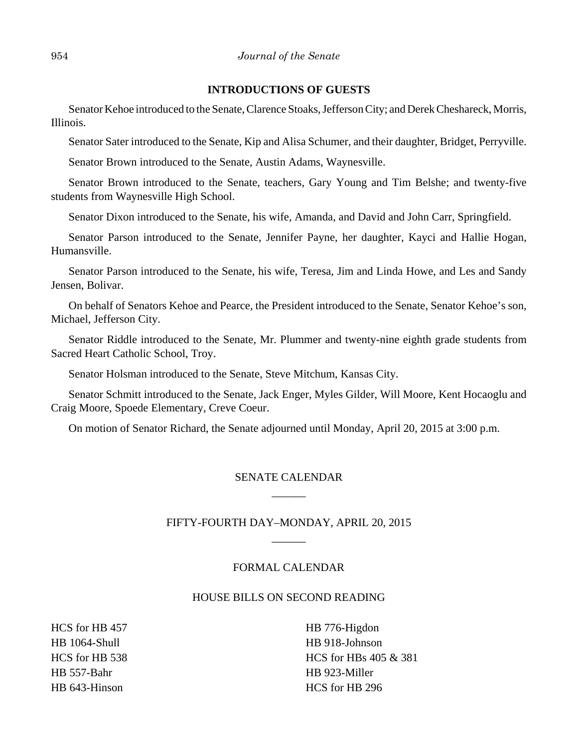#### **INTRODUCTIONS OF GUESTS**

Senator Kehoe introduced to the Senate, Clarence Stoaks, Jefferson City; and Derek Cheshareck, Morris, Illinois.

Senator Sater introduced to the Senate, Kip and Alisa Schumer, and their daughter, Bridget, Perryville.

Senator Brown introduced to the Senate, Austin Adams, Waynesville.

Senator Brown introduced to the Senate, teachers, Gary Young and Tim Belshe; and twenty-five students from Waynesville High School.

Senator Dixon introduced to the Senate, his wife, Amanda, and David and John Carr, Springfield.

Senator Parson introduced to the Senate, Jennifer Payne, her daughter, Kayci and Hallie Hogan, Humansville.

Senator Parson introduced to the Senate, his wife, Teresa, Jim and Linda Howe, and Les and Sandy Jensen, Bolivar.

On behalf of Senators Kehoe and Pearce, the President introduced to the Senate, Senator Kehoe's son, Michael, Jefferson City.

Senator Riddle introduced to the Senate, Mr. Plummer and twenty-nine eighth grade students from Sacred Heart Catholic School, Troy.

Senator Holsman introduced to the Senate, Steve Mitchum, Kansas City.

Senator Schmitt introduced to the Senate, Jack Enger, Myles Gilder, Will Moore, Kent Hocaoglu and Craig Moore, Spoede Elementary, Creve Coeur.

On motion of Senator Richard, the Senate adjourned until Monday, April 20, 2015 at 3:00 p.m.

## SENATE CALENDAR  $\overline{\phantom{a}}$

## FIFTY-FOURTH DAY–MONDAY, APRIL 20, 2015  $\overline{\phantom{a}}$

#### FORMAL CALENDAR

#### HOUSE BILLS ON SECOND READING

HCS for HB 457 HB 1064-Shull HCS for HB 538 HB 557-Bahr HB 643-Hinson

HB 776-Higdon HB 918-Johnson HCS for HBs 405 & 381 HB 923-Miller HCS for HB 296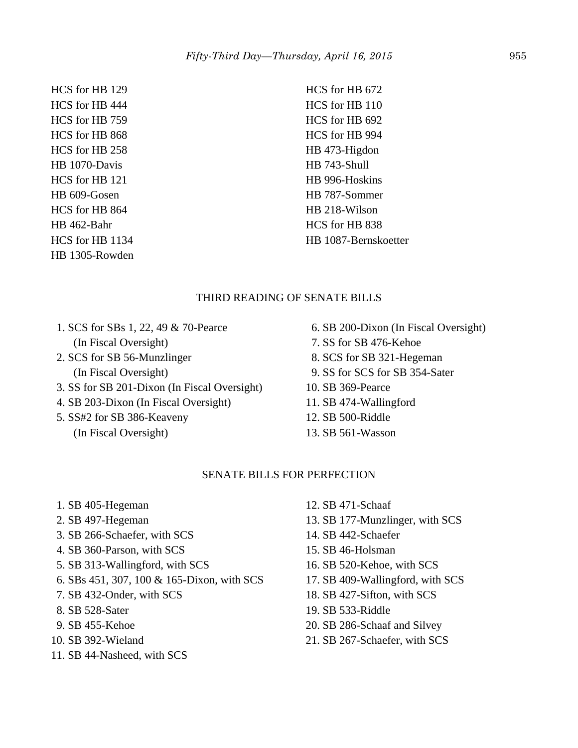HCS for HB 129 HCS for HB 444 HCS for HB 759 HCS for HB 868 HCS for HB 258 HB 1070-Davis HCS for HB 121 HB 609-Gosen HCS for HB 864 HB 462-Bahr HCS for HB 1134 HB 1305-Rowden

HCS for HB 672 HCS for HB 110 HCS for HB 692 HCS for HB 994 HB 473-Higdon HB 743-Shull HB 996-Hoskins HB 787-Sommer HB 218-Wilson HCS for HB 838 HB 1087-Bernskoetter

## THIRD READING OF SENATE BILLS

- 1. SCS for SBs 1, 22, 49 & 70-Pearce (In Fiscal Oversight)
- 2. SCS for SB 56-Munzlinger (In Fiscal Oversight)
- 3. SS for SB 201-Dixon (In Fiscal Oversight)
- 4. SB 203-Dixon (In Fiscal Oversight)
- 5. SS#2 for SB 386-Keaveny
	- (In Fiscal Oversight)
- 6. SB 200-Dixon (In Fiscal Oversight)
- 7. SS for SB 476-Kehoe
- 8. SCS for SB 321-Hegeman
- 9. SS for SCS for SB 354-Sater
- 10. SB 369-Pearce
- 11. SB 474-Wallingford
- 12. SB 500-Riddle
- 13. SB 561-Wasson

#### SENATE BILLS FOR PERFECTION

- 1. SB 405-Hegeman
- 2. SB 497-Hegeman
- 3. SB 266-Schaefer, with SCS
- 4. SB 360-Parson, with SCS
- 5. SB 313-Wallingford, with SCS
- 6. SBs 451, 307, 100 & 165-Dixon, with SCS
- 7. SB 432-Onder, with SCS
- 8. SB 528-Sater
- 9. SB 455-Kehoe
- 10. SB 392-Wieland
- 11. SB 44-Nasheed, with SCS
- 12. SB 471-Schaaf
- 13. SB 177-Munzlinger, with SCS
- 14. SB 442-Schaefer
- 15. SB 46-Holsman
- 16. SB 520-Kehoe, with SCS
- 17. SB 409-Wallingford, with SCS
- 18. SB 427-Sifton, with SCS
- 19. SB 533-Riddle
- 20. SB 286-Schaaf and Silvey
- 21. SB 267-Schaefer, with SCS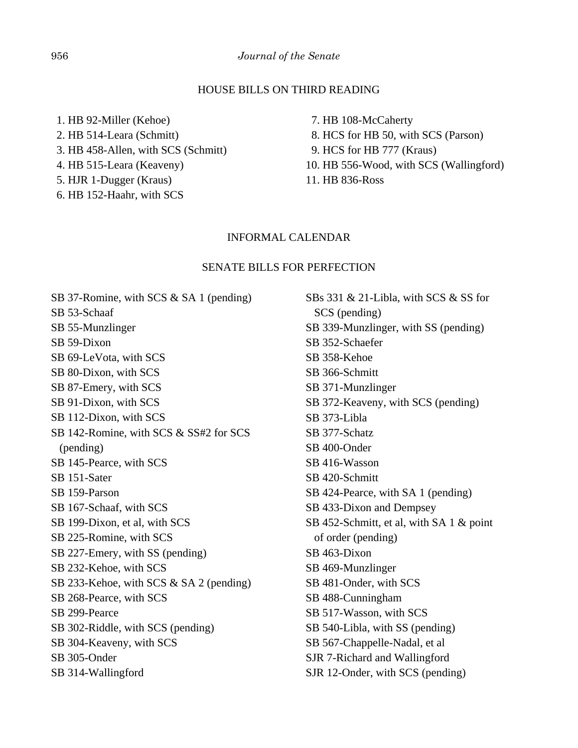#### HOUSE BILLS ON THIRD READING

 1. HB 92-Miller (Kehoe) 2. HB 514-Leara (Schmitt) 3. HB 458-Allen, with SCS (Schmitt) 4. HB 515-Leara (Keaveny) 5. HJR 1-Dugger (Kraus)

6. HB 152-Haahr, with SCS

 7. HB 108-McCaherty 8. HCS for HB 50, with SCS (Parson) 9. HCS for HB 777 (Kraus) 10. HB 556-Wood, with SCS (Wallingford) 11. HB 836-Ross

#### INFORMAL CALENDAR

#### SENATE BILLS FOR PERFECTION

SB 37-Romine, with SCS & SA 1 (pending) SB 53-Schaaf SB 55-Munzlinger SB 59-Dixon SB 69-LeVota, with SCS SB 80-Dixon, with SCS SB 87-Emery, with SCS SB 91-Dixon, with SCS SB 112-Dixon, with SCS SB 142-Romine, with SCS & SS#2 for SCS (pending) SB 145-Pearce, with SCS SB 151-Sater SB 159-Parson SB 167-Schaaf, with SCS SB 199-Dixon, et al, with SCS SB 225-Romine, with SCS SB 227-Emery, with SS (pending) SB 232-Kehoe, with SCS SB 233-Kehoe, with SCS & SA 2 (pending) SB 268-Pearce, with SCS SB 299-Pearce SB 302-Riddle, with SCS (pending) SB 304-Keaveny, with SCS SB 305-Onder SB 314-Wallingford

SBs 331 & 21-Libla, with SCS & SS for SCS (pending) SB 339-Munzlinger, with SS (pending) SB 352-Schaefer SB 358-Kehoe SB 366-Schmitt SB 371-Munzlinger SB 372-Keaveny, with SCS (pending) SB 373-Libla SB 377-Schatz SB 400-Onder SB 416-Wasson SB 420-Schmitt SB 424-Pearce, with SA 1 (pending) SB 433-Dixon and Dempsey SB 452-Schmitt, et al, with SA 1 & point of order (pending) SB 463-Dixon SB 469-Munzlinger SB 481-Onder, with SCS SB 488-Cunningham SB 517-Wasson, with SCS SB 540-Libla, with SS (pending) SB 567-Chappelle-Nadal, et al SJR 7-Richard and Wallingford SJR 12-Onder, with SCS (pending)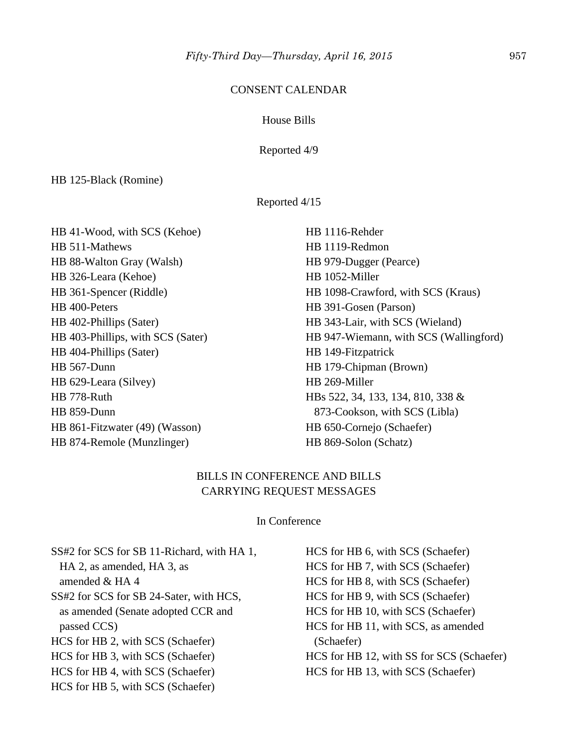## CONSENT CALENDAR

## House Bills

Reported 4/9

HB 125-Black (Romine)

Reported 4/15

| HB 41-Wood, with SCS (Kehoe)      | HB 1116-Rehder                         |
|-----------------------------------|----------------------------------------|
| HB 511-Mathews                    | HB 1119-Redmon                         |
| HB 88-Walton Gray (Walsh)         | HB 979-Dugger (Pearce)                 |
| HB 326-Leara (Kehoe)              | HB 1052-Miller                         |
| HB 361-Spencer (Riddle)           | HB 1098-Crawford, with SCS (Kraus)     |
| HB 400-Peters                     | HB 391-Gosen (Parson)                  |
| HB 402-Phillips (Sater)           | HB 343-Lair, with SCS (Wieland)        |
| HB 403-Phillips, with SCS (Sater) | HB 947-Wiemann, with SCS (Wallingford) |
| HB 404-Phillips (Sater)           | HB 149-Fitzpatrick                     |
| HB 567-Dunn                       | HB 179-Chipman (Brown)                 |
| HB 629-Leara (Silvey)             | HB 269-Miller                          |
| HB 778-Ruth                       | HBs 522, 34, 133, 134, 810, 338 &      |
| HB 859-Dunn                       | 873-Cookson, with SCS (Libla)          |
| HB 861-Fitzwater (49) (Wasson)    | HB 650-Cornejo (Schaefer)              |
| HB 874-Remole (Munzlinger)        | HB 869-Solon (Schatz)                  |

## BILLS IN CONFERENCE AND BILLS CARRYING REQUEST MESSAGES

## In Conference

| SS#2 for SCS for SB 11-Richard, with HA 1, | HCS for HB 6, with SCS (Schaefer)         |
|--------------------------------------------|-------------------------------------------|
| HA 2, as amended, HA 3, as                 | HCS for HB 7, with SCS (Schaefer)         |
| amended $&HA\,4$                           | HCS for HB 8, with SCS (Schaefer)         |
| SS#2 for SCS for SB 24-Sater, with HCS,    | HCS for HB 9, with SCS (Schaefer)         |
| as amended (Senate adopted CCR and         | HCS for HB 10, with SCS (Schaefer)        |
| passed CCS)                                | HCS for HB 11, with SCS, as amended       |
| HCS for HB 2, with SCS (Schaefer)          | (Schaefer)                                |
| HCS for HB 3, with SCS (Schaefer)          | HCS for HB 12, with SS for SCS (Schaefer) |
| HCS for HB 4, with SCS (Schaefer)          | HCS for HB 13, with SCS (Schaefer)        |
| HCS for HB 5, with SCS (Schaefer)          |                                           |